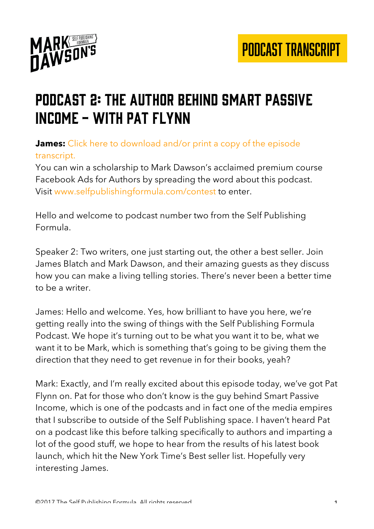

#### Podcast 2: the author behind smart passive income - with pat flynn

#### **James:** Click here to download and/or print a copy of the episode transcript.

You can win a scholarship to Mark Dawson's acclaimed premium course Facebook Ads for Authors by spreading the word about this podcast. Visit www.selfpublishingformula.com/contest to enter.

Hello and welcome to podcast number two from the Self Publishing Formula.

Speaker 2: Two writers, one just starting out, the other a best seller. Join James Blatch and Mark Dawson, and their amazing guests as they discuss how you can make a living telling stories. There's never been a better time to be a writer.

James: Hello and welcome. Yes, how brilliant to have you here, we're getting really into the swing of things with the Self Publishing Formula Podcast. We hope it's turning out to be what you want it to be, what we want it to be Mark, which is something that's going to be giving them the direction that they need to get revenue in for their books, yeah?

Mark: Exactly, and I'm really excited about this episode today, we've got Pat Flynn on. Pat for those who don't know is the guy behind Smart Passive Income, which is one of the podcasts and in fact one of the media empires that I subscribe to outside of the Self Publishing space. I haven't heard Pat on a podcast like this before talking specifically to authors and imparting a lot of the good stuff, we hope to hear from the results of his latest book launch, which hit the New York Time's Best seller list. Hopefully very interesting James.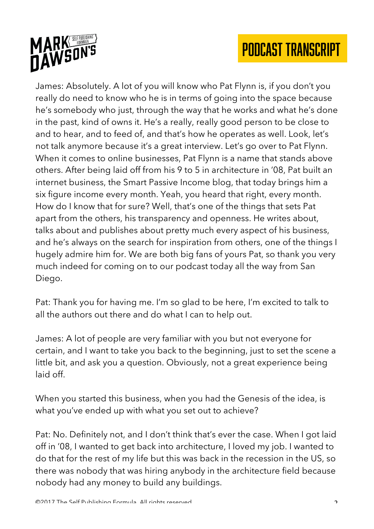



James: Absolutely. A lot of you will know who Pat Flynn is, if you don't you really do need to know who he is in terms of going into the space because he's somebody who just, through the way that he works and what he's done in the past, kind of owns it. He's a really, really good person to be close to and to hear, and to feed of, and that's how he operates as well. Look, let's not talk anymore because it's a great interview. Let's go over to Pat Flynn. When it comes to online businesses, Pat Flynn is a name that stands above others. After being laid off from his 9 to 5 in architecture in '08, Pat built an internet business, the Smart Passive Income blog, that today brings him a six figure income every month. Yeah, you heard that right, every month. How do I know that for sure? Well, that's one of the things that sets Pat apart from the others, his transparency and openness. He writes about, talks about and publishes about pretty much every aspect of his business, and he's always on the search for inspiration from others, one of the things I hugely admire him for. We are both big fans of yours Pat, so thank you very much indeed for coming on to our podcast today all the way from San Diego.

Pat: Thank you for having me. I'm so glad to be here, I'm excited to talk to all the authors out there and do what I can to help out.

James: A lot of people are very familiar with you but not everyone for certain, and I want to take you back to the beginning, just to set the scene a little bit, and ask you a question. Obviously, not a great experience being laid off.

When you started this business, when you had the Genesis of the idea, is what you've ended up with what you set out to achieve?

Pat: No. Definitely not, and I don't think that's ever the case. When I got laid off in '08, I wanted to get back into architecture, I loved my job. I wanted to do that for the rest of my life but this was back in the recession in the US, so there was nobody that was hiring anybody in the architecture field because nobody had any money to build any buildings.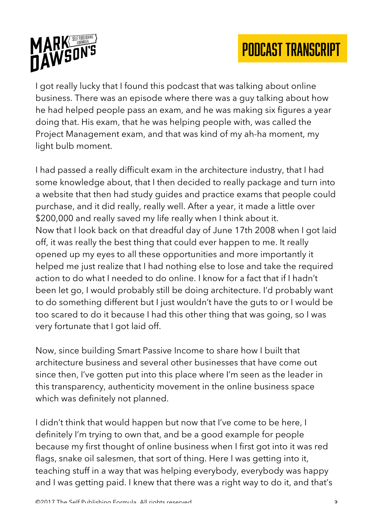



I got really lucky that I found this podcast that was talking about online business. There was an episode where there was a guy talking about how he had helped people pass an exam, and he was making six figures a year doing that. His exam, that he was helping people with, was called the Project Management exam, and that was kind of my ah-ha moment, my light bulb moment.

I had passed a really difficult exam in the architecture industry, that I had some knowledge about, that I then decided to really package and turn into a website that then had study guides and practice exams that people could purchase, and it did really, really well. After a year, it made a little over \$200,000 and really saved my life really when I think about it. Now that I look back on that dreadful day of June 17th 2008 when I got laid off, it was really the best thing that could ever happen to me. It really opened up my eyes to all these opportunities and more importantly it helped me just realize that I had nothing else to lose and take the required action to do what I needed to do online. I know for a fact that if I hadn't been let go, I would probably still be doing architecture. I'd probably want to do something different but I just wouldn't have the guts to or I would be too scared to do it because I had this other thing that was going, so I was very fortunate that I got laid off.

Now, since building Smart Passive Income to share how I built that architecture business and several other businesses that have come out since then, I've gotten put into this place where I'm seen as the leader in this transparency, authenticity movement in the online business space which was definitely not planned.

I didn't think that would happen but now that I've come to be here, I definitely I'm trying to own that, and be a good example for people because my first thought of online business when I first got into it was red flags, snake oil salesmen, that sort of thing. Here I was getting into it, teaching stuff in a way that was helping everybody, everybody was happy and I was getting paid. I knew that there was a right way to do it, and that's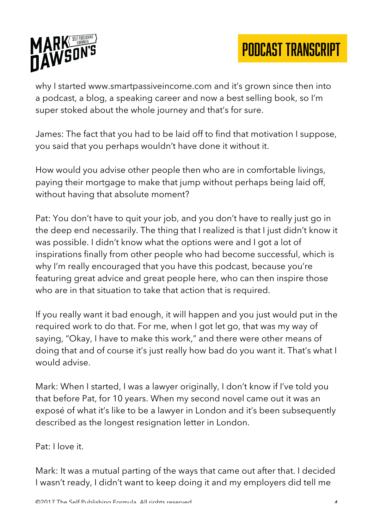



why I started www.smartpassiveincome.com and it's grown since then into a podcast, a blog, a speaking career and now a best selling book, so I'm super stoked about the whole journey and that's for sure.

James: The fact that you had to be laid off to find that motivation I suppose, you said that you perhaps wouldn't have done it without it.

How would you advise other people then who are in comfortable livings, paying their mortgage to make that jump without perhaps being laid off, without having that absolute moment?

Pat: You don't have to quit your job, and you don't have to really just go in the deep end necessarily. The thing that I realized is that I just didn't know it was possible. I didn't know what the options were and I got a lot of inspirations finally from other people who had become successful, which is why I'm really encouraged that you have this podcast, because you're featuring great advice and great people here, who can then inspire those who are in that situation to take that action that is required.

If you really want it bad enough, it will happen and you just would put in the required work to do that. For me, when I got let go, that was my way of saying, "Okay, I have to make this work," and there were other means of doing that and of course it's just really how bad do you want it. That's what I would advise.

Mark: When I started, I was a lawyer originally, I don't know if I've told you that before Pat, for 10 years. When my second novel came out it was an exposé of what it's like to be a lawyer in London and it's been subsequently described as the longest resignation letter in London.

Pat: I love it.

Mark: It was a mutual parting of the ways that came out after that. I decided I wasn't ready, I didn't want to keep doing it and my employers did tell me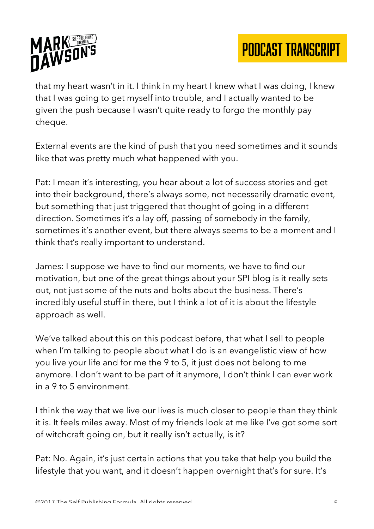

that my heart wasn't in it. I think in my heart I knew what I was doing, I knew that I was going to get myself into trouble, and I actually wanted to be given the push because I wasn't quite ready to forgo the monthly pay cheque.

External events are the kind of push that you need sometimes and it sounds like that was pretty much what happened with you.

Pat: I mean it's interesting, you hear about a lot of success stories and get into their background, there's always some, not necessarily dramatic event, but something that just triggered that thought of going in a different direction. Sometimes it's a lay off, passing of somebody in the family, sometimes it's another event, but there always seems to be a moment and I think that's really important to understand.

James: I suppose we have to find our moments, we have to find our motivation, but one of the great things about your SPI blog is it really sets out, not just some of the nuts and bolts about the business. There's incredibly useful stuff in there, but I think a lot of it is about the lifestyle approach as well.

We've talked about this on this podcast before, that what I sell to people when I'm talking to people about what I do is an evangelistic view of how you live your life and for me the 9 to 5, it just does not belong to me anymore. I don't want to be part of it anymore, I don't think I can ever work in a 9 to 5 environment.

I think the way that we live our lives is much closer to people than they think it is. It feels miles away. Most of my friends look at me like I've got some sort of witchcraft going on, but it really isn't actually, is it?

Pat: No. Again, it's just certain actions that you take that help you build the lifestyle that you want, and it doesn't happen overnight that's for sure. It's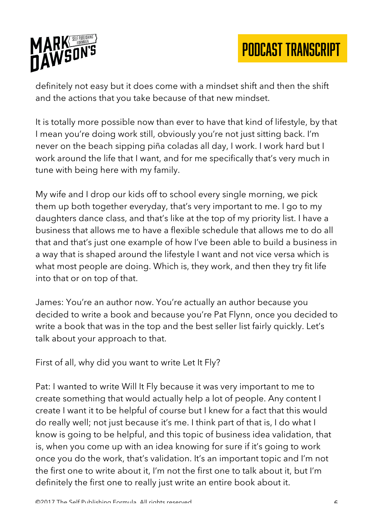

definitely not easy but it does come with a mindset shift and then the shift and the actions that you take because of that new mindset.

It is totally more possible now than ever to have that kind of lifestyle, by that I mean you're doing work still, obviously you're not just sitting back. I'm never on the beach sipping piña coladas all day, I work. I work hard but I work around the life that I want, and for me specifically that's very much in tune with being here with my family.

My wife and I drop our kids off to school every single morning, we pick them up both together everyday, that's very important to me. I go to my daughters dance class, and that's like at the top of my priority list. I have a business that allows me to have a flexible schedule that allows me to do all that and that's just one example of how I've been able to build a business in a way that is shaped around the lifestyle I want and not vice versa which is what most people are doing. Which is, they work, and then they try fit life into that or on top of that.

James: You're an author now. You're actually an author because you decided to write a book and because you're Pat Flynn, once you decided to write a book that was in the top and the best seller list fairly quickly. Let's talk about your approach to that.

First of all, why did you want to write Let It Fly?

Pat: I wanted to write Will It Fly because it was very important to me to create something that would actually help a lot of people. Any content I create I want it to be helpful of course but I knew for a fact that this would do really well; not just because it's me. I think part of that is, I do what I know is going to be helpful, and this topic of business idea validation, that is, when you come up with an idea knowing for sure if it's going to work once you do the work, that's validation. It's an important topic and I'm not the first one to write about it, I'm not the first one to talk about it, but I'm definitely the first one to really just write an entire book about it.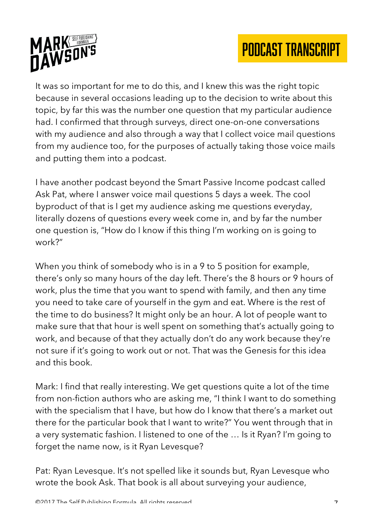

It was so important for me to do this, and I knew this was the right topic because in several occasions leading up to the decision to write about this topic, by far this was the number one question that my particular audience had. I confirmed that through surveys, direct one-on-one conversations with my audience and also through a way that I collect voice mail questions from my audience too, for the purposes of actually taking those voice mails and putting them into a podcast.

I have another podcast beyond the Smart Passive Income podcast called Ask Pat, where I answer voice mail questions 5 days a week. The cool byproduct of that is I get my audience asking me questions everyday, literally dozens of questions every week come in, and by far the number one question is, "How do I know if this thing I'm working on is going to work?"

When you think of somebody who is in a 9 to 5 position for example, there's only so many hours of the day left. There's the 8 hours or 9 hours of work, plus the time that you want to spend with family, and then any time you need to take care of yourself in the gym and eat. Where is the rest of the time to do business? It might only be an hour. A lot of people want to make sure that that hour is well spent on something that's actually going to work, and because of that they actually don't do any work because they're not sure if it's going to work out or not. That was the Genesis for this idea and this book.

Mark: I find that really interesting. We get questions quite a lot of the time from non-fiction authors who are asking me, "I think I want to do something with the specialism that I have, but how do I know that there's a market out there for the particular book that I want to write?" You went through that in a very systematic fashion. I listened to one of the … Is it Ryan? I'm going to forget the name now, is it Ryan Levesque?

Pat: Ryan Levesque. It's not spelled like it sounds but, Ryan Levesque who wrote the book Ask. That book is all about surveying your audience,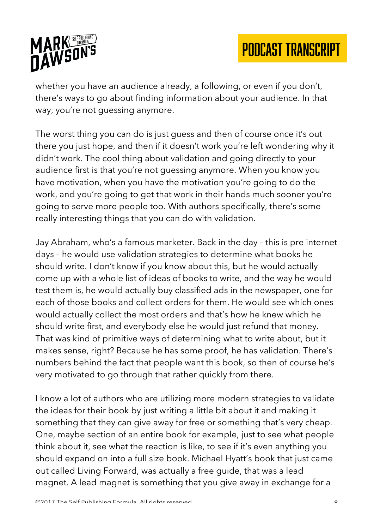

whether you have an audience already, a following, or even if you don't, there's ways to go about finding information about your audience. In that way, you're not guessing anymore.

The worst thing you can do is just guess and then of course once it's out there you just hope, and then if it doesn't work you're left wondering why it didn't work. The cool thing about validation and going directly to your audience first is that you're not guessing anymore. When you know you have motivation, when you have the motivation you're going to do the work, and you're going to get that work in their hands much sooner you're going to serve more people too. With authors specifically, there's some really interesting things that you can do with validation.

Jay Abraham, who's a famous marketer. Back in the day – this is pre internet days – he would use validation strategies to determine what books he should write. I don't know if you know about this, but he would actually come up with a whole list of ideas of books to write, and the way he would test them is, he would actually buy classified ads in the newspaper, one for each of those books and collect orders for them. He would see which ones would actually collect the most orders and that's how he knew which he should write first, and everybody else he would just refund that money. That was kind of primitive ways of determining what to write about, but it makes sense, right? Because he has some proof, he has validation. There's numbers behind the fact that people want this book, so then of course he's very motivated to go through that rather quickly from there.

I know a lot of authors who are utilizing more modern strategies to validate the ideas for their book by just writing a little bit about it and making it something that they can give away for free or something that's very cheap. One, maybe section of an entire book for example, just to see what people think about it, see what the reaction is like, to see if it's even anything you should expand on into a full size book. Michael Hyatt's book that just came out called Living Forward, was actually a free guide, that was a lead magnet. A lead magnet is something that you give away in exchange for a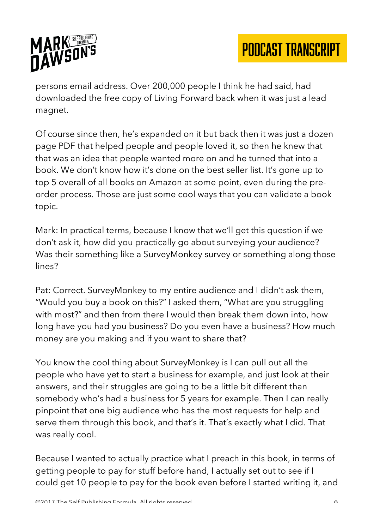

persons email address. Over 200,000 people I think he had said, had downloaded the free copy of Living Forward back when it was just a lead magnet.

Of course since then, he's expanded on it but back then it was just a dozen page PDF that helped people and people loved it, so then he knew that that was an idea that people wanted more on and he turned that into a book. We don't know how it's done on the best seller list. It's gone up to top 5 overall of all books on Amazon at some point, even during the preorder process. Those are just some cool ways that you can validate a book topic.

Mark: In practical terms, because I know that we'll get this question if we don't ask it, how did you practically go about surveying your audience? Was their something like a SurveyMonkey survey or something along those lines?

Pat: Correct. SurveyMonkey to my entire audience and I didn't ask them, "Would you buy a book on this?" I asked them, "What are you struggling with most?" and then from there I would then break them down into, how long have you had you business? Do you even have a business? How much money are you making and if you want to share that?

You know the cool thing about SurveyMonkey is I can pull out all the people who have yet to start a business for example, and just look at their answers, and their struggles are going to be a little bit different than somebody who's had a business for 5 years for example. Then I can really pinpoint that one big audience who has the most requests for help and serve them through this book, and that's it. That's exactly what I did. That was really cool.

Because I wanted to actually practice what I preach in this book, in terms of getting people to pay for stuff before hand, I actually set out to see if I could get 10 people to pay for the book even before I started writing it, and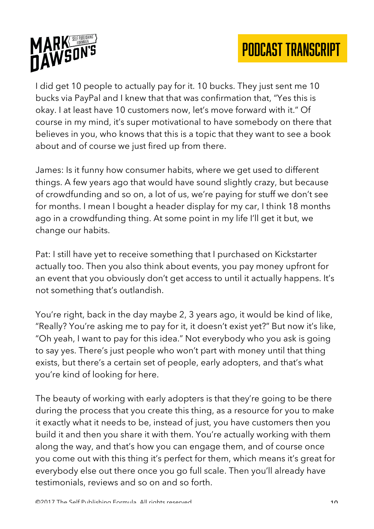

I did get 10 people to actually pay for it. 10 bucks. They just sent me 10 bucks via PayPal and I knew that that was confirmation that, "Yes this is okay. I at least have 10 customers now, let's move forward with it." Of course in my mind, it's super motivational to have somebody on there that believes in you, who knows that this is a topic that they want to see a book about and of course we just fired up from there.

James: Is it funny how consumer habits, where we get used to different things. A few years ago that would have sound slightly crazy, but because of crowdfunding and so on, a lot of us, we're paying for stuff we don't see for months. I mean I bought a header display for my car, I think 18 months ago in a crowdfunding thing. At some point in my life I'll get it but, we change our habits.

Pat: I still have yet to receive something that I purchased on Kickstarter actually too. Then you also think about events, you pay money upfront for an event that you obviously don't get access to until it actually happens. It's not something that's outlandish.

You're right, back in the day maybe 2, 3 years ago, it would be kind of like, "Really? You're asking me to pay for it, it doesn't exist yet?" But now it's like, "Oh yeah, I want to pay for this idea." Not everybody who you ask is going to say yes. There's just people who won't part with money until that thing exists, but there's a certain set of people, early adopters, and that's what you're kind of looking for here.

The beauty of working with early adopters is that they're going to be there during the process that you create this thing, as a resource for you to make it exactly what it needs to be, instead of just, you have customers then you build it and then you share it with them. You're actually working with them along the way, and that's how you can engage them, and of course once you come out with this thing it's perfect for them, which means it's great for everybody else out there once you go full scale. Then you'll already have testimonials, reviews and so on and so forth.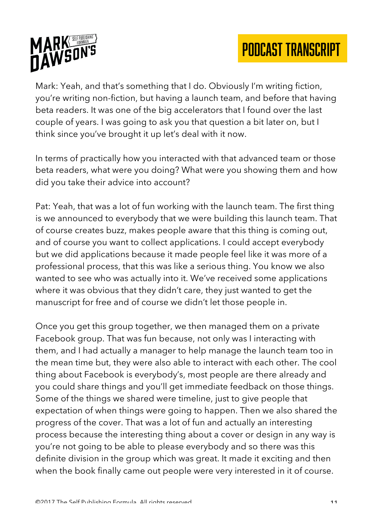



Mark: Yeah, and that's something that I do. Obviously I'm writing fiction, you're writing non-fiction, but having a launch team, and before that having beta readers. It was one of the big accelerators that I found over the last couple of years. I was going to ask you that question a bit later on, but I think since you've brought it up let's deal with it now.

In terms of practically how you interacted with that advanced team or those beta readers, what were you doing? What were you showing them and how did you take their advice into account?

Pat: Yeah, that was a lot of fun working with the launch team. The first thing is we announced to everybody that we were building this launch team. That of course creates buzz, makes people aware that this thing is coming out, and of course you want to collect applications. I could accept everybody but we did applications because it made people feel like it was more of a professional process, that this was like a serious thing. You know we also wanted to see who was actually into it. We've received some applications where it was obvious that they didn't care, they just wanted to get the manuscript for free and of course we didn't let those people in.

Once you get this group together, we then managed them on a private Facebook group. That was fun because, not only was I interacting with them, and I had actually a manager to help manage the launch team too in the mean time but, they were also able to interact with each other. The cool thing about Facebook is everybody's, most people are there already and you could share things and you'll get immediate feedback on those things. Some of the things we shared were timeline, just to give people that expectation of when things were going to happen. Then we also shared the progress of the cover. That was a lot of fun and actually an interesting process because the interesting thing about a cover or design in any way is you're not going to be able to please everybody and so there was this definite division in the group which was great. It made it exciting and then when the book finally came out people were very interested in it of course.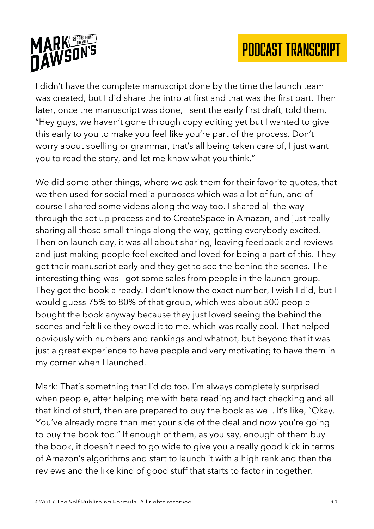

I didn't have the complete manuscript done by the time the launch team was created, but I did share the intro at first and that was the first part. Then later, once the manuscript was done, I sent the early first draft, told them, "Hey guys, we haven't gone through copy editing yet but I wanted to give this early to you to make you feel like you're part of the process. Don't worry about spelling or grammar, that's all being taken care of, I just want you to read the story, and let me know what you think."

We did some other things, where we ask them for their favorite quotes, that we then used for social media purposes which was a lot of fun, and of course I shared some videos along the way too. I shared all the way through the set up process and to CreateSpace in Amazon, and just really sharing all those small things along the way, getting everybody excited. Then on launch day, it was all about sharing, leaving feedback and reviews and just making people feel excited and loved for being a part of this. They get their manuscript early and they get to see the behind the scenes. The interesting thing was I got some sales from people in the launch group. They got the book already. I don't know the exact number, I wish I did, but I would guess 75% to 80% of that group, which was about 500 people bought the book anyway because they just loved seeing the behind the scenes and felt like they owed it to me, which was really cool. That helped obviously with numbers and rankings and whatnot, but beyond that it was just a great experience to have people and very motivating to have them in my corner when I launched.

Mark: That's something that I'd do too. I'm always completely surprised when people, after helping me with beta reading and fact checking and all that kind of stuff, then are prepared to buy the book as well. It's like, "Okay. You've already more than met your side of the deal and now you're going to buy the book too." If enough of them, as you say, enough of them buy the book, it doesn't need to go wide to give you a really good kick in terms of Amazon's algorithms and start to launch it with a high rank and then the reviews and the like kind of good stuff that starts to factor in together.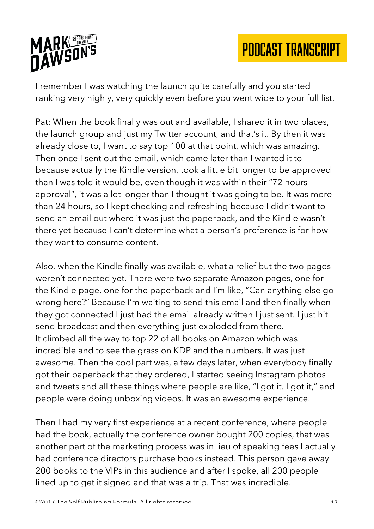

I remember I was watching the launch quite carefully and you started ranking very highly, very quickly even before you went wide to your full list.

Pat: When the book finally was out and available, I shared it in two places, the launch group and just my Twitter account, and that's it. By then it was already close to, I want to say top 100 at that point, which was amazing. Then once I sent out the email, which came later than I wanted it to because actually the Kindle version, took a little bit longer to be approved than I was told it would be, even though it was within their "72 hours approval", it was a lot longer than I thought it was going to be. It was more than 24 hours, so I kept checking and refreshing because I didn't want to send an email out where it was just the paperback, and the Kindle wasn't there yet because I can't determine what a person's preference is for how they want to consume content.

Also, when the Kindle finally was available, what a relief but the two pages weren't connected yet. There were two separate Amazon pages, one for the Kindle page, one for the paperback and I'm like, "Can anything else go wrong here?" Because I'm waiting to send this email and then finally when they got connected I just had the email already written I just sent. I just hit send broadcast and then everything just exploded from there. It climbed all the way to top 22 of all books on Amazon which was incredible and to see the grass on KDP and the numbers. It was just awesome. Then the cool part was, a few days later, when everybody finally got their paperback that they ordered, I started seeing Instagram photos and tweets and all these things where people are like, "I got it. I got it," and people were doing unboxing videos. It was an awesome experience.

Then I had my very first experience at a recent conference, where people had the book, actually the conference owner bought 200 copies, that was another part of the marketing process was in lieu of speaking fees I actually had conference directors purchase books instead. This person gave away 200 books to the VIPs in this audience and after I spoke, all 200 people lined up to get it signed and that was a trip. That was incredible.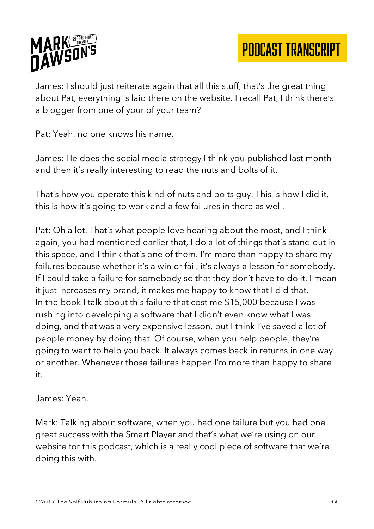

James: I should just reiterate again that all this stuff, that's the great thing about Pat, everything is laid there on the website. I recall Pat, I think there's a blogger from one of your of your team?

Pat: Yeah, no one knows his name.

James: He does the social media strategy I think you published last month and then it's really interesting to read the nuts and bolts of it.

That's how you operate this kind of nuts and bolts guy. This is how I did it, this is how it's going to work and a few failures in there as well.

Pat: Oh a lot. That's what people love hearing about the most, and I think again, you had mentioned earlier that, I do a lot of things that's stand out in this space, and I think that's one of them. I'm more than happy to share my failures because whether it's a win or fail, it's always a lesson for somebody. If I could take a failure for somebody so that they don't have to do it, I mean it just increases my brand, it makes me happy to know that I did that. In the book I talk about this failure that cost me \$15,000 because I was rushing into developing a software that I didn't even know what I was doing, and that was a very expensive lesson, but I think I've saved a lot of people money by doing that. Of course, when you help people, they're going to want to help you back. It always comes back in returns in one way or another. Whenever those failures happen I'm more than happy to share it.

James: Yeah.

Mark: Talking about software, when you had one failure but you had one great success with the Smart Player and that's what we're using on our website for this podcast, which is a really cool piece of software that we're doing this with.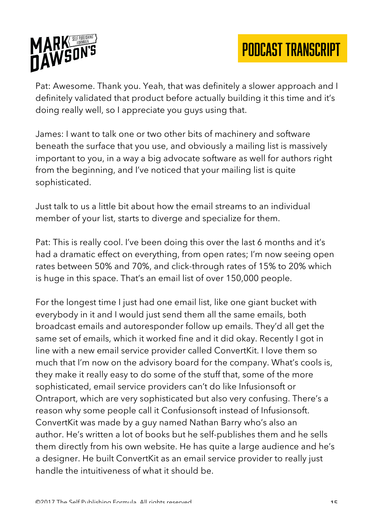

Pat: Awesome. Thank you. Yeah, that was definitely a slower approach and I definitely validated that product before actually building it this time and it's doing really well, so I appreciate you guys using that.

James: I want to talk one or two other bits of machinery and software beneath the surface that you use, and obviously a mailing list is massively important to you, in a way a big advocate software as well for authors right from the beginning, and I've noticed that your mailing list is quite sophisticated.

Just talk to us a little bit about how the email streams to an individual member of your list, starts to diverge and specialize for them.

Pat: This is really cool. I've been doing this over the last 6 months and it's had a dramatic effect on everything, from open rates; I'm now seeing open rates between 50% and 70%, and click-through rates of 15% to 20% which is huge in this space. That's an email list of over 150,000 people.

For the longest time I just had one email list, like one giant bucket with everybody in it and I would just send them all the same emails, both broadcast emails and autoresponder follow up emails. They'd all get the same set of emails, which it worked fine and it did okay. Recently I got in line with a new email service provider called ConvertKit. I love them so much that I'm now on the advisory board for the company. What's cools is, they make it really easy to do some of the stuff that, some of the more sophisticated, email service providers can't do like Infusionsoft or Ontraport, which are very sophisticated but also very confusing. There's a reason why some people call it Confusionsoft instead of Infusionsoft. ConvertKit was made by a guy named Nathan Barry who's also an author. He's written a lot of books but he self-publishes them and he sells them directly from his own website. He has quite a large audience and he's a designer. He built ConvertKit as an email service provider to really just handle the intuitiveness of what it should be.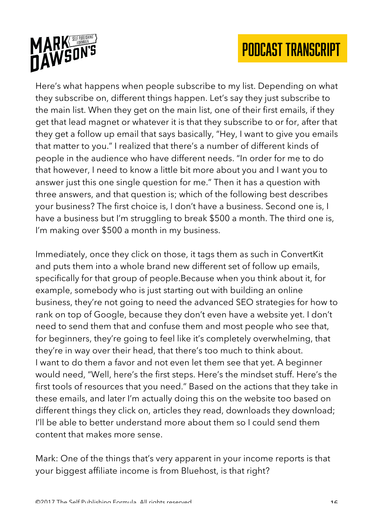

Here's what happens when people subscribe to my list. Depending on what they subscribe on, different things happen. Let's say they just subscribe to the main list. When they get on the main list, one of their first emails, if they get that lead magnet or whatever it is that they subscribe to or for, after that they get a follow up email that says basically, "Hey, I want to give you emails that matter to you." I realized that there's a number of different kinds of people in the audience who have different needs. "In order for me to do that however, I need to know a little bit more about you and I want you to answer just this one single question for me." Then it has a question with three answers, and that question is; which of the following best describes your business? The first choice is, I don't have a business. Second one is, I have a business but I'm struggling to break \$500 a month. The third one is, I'm making over \$500 a month in my business.

Immediately, once they click on those, it tags them as such in ConvertKit and puts them into a whole brand new different set of follow up emails, specifically for that group of people.Because when you think about it, for example, somebody who is just starting out with building an online business, they're not going to need the advanced SEO strategies for how to rank on top of Google, because they don't even have a website yet. I don't need to send them that and confuse them and most people who see that, for beginners, they're going to feel like it's completely overwhelming, that they're in way over their head, that there's too much to think about. I want to do them a favor and not even let them see that yet. A beginner would need, "Well, here's the first steps. Here's the mindset stuff. Here's the first tools of resources that you need." Based on the actions that they take in these emails, and later I'm actually doing this on the website too based on different things they click on, articles they read, downloads they download; I'll be able to better understand more about them so I could send them content that makes more sense.

Mark: One of the things that's very apparent in your income reports is that your biggest affiliate income is from Bluehost, is that right?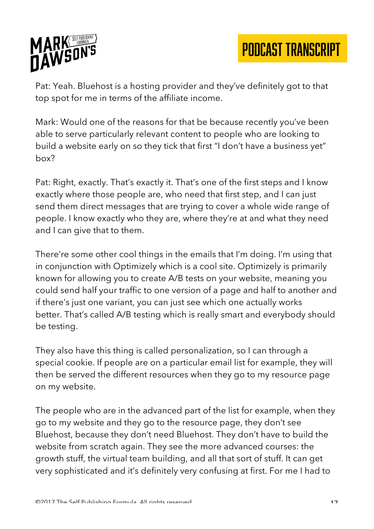

Pat: Yeah. Bluehost is a hosting provider and they've definitely got to that top spot for me in terms of the affiliate income.

Mark: Would one of the reasons for that be because recently you've been able to serve particularly relevant content to people who are looking to build a website early on so they tick that first "I don't have a business yet" box?

Pat: Right, exactly. That's exactly it. That's one of the first steps and I know exactly where those people are, who need that first step, and I can just send them direct messages that are trying to cover a whole wide range of people. I know exactly who they are, where they're at and what they need and I can give that to them.

There're some other cool things in the emails that I'm doing. I'm using that in conjunction with Optimizely which is a cool site. Optimizely is primarily known for allowing you to create A/B tests on your website, meaning you could send half your traffic to one version of a page and half to another and if there's just one variant, you can just see which one actually works better. That's called A/B testing which is really smart and everybody should be testing.

They also have this thing is called personalization, so I can through a special cookie. If people are on a particular email list for example, they will then be served the different resources when they go to my resource page on my website.

The people who are in the advanced part of the list for example, when they go to my website and they go to the resource page, they don't see Bluehost, because they don't need Bluehost. They don't have to build the website from scratch again. They see the more advanced courses: the growth stuff, the virtual team building, and all that sort of stuff. It can get very sophisticated and it's definitely very confusing at first. For me I had to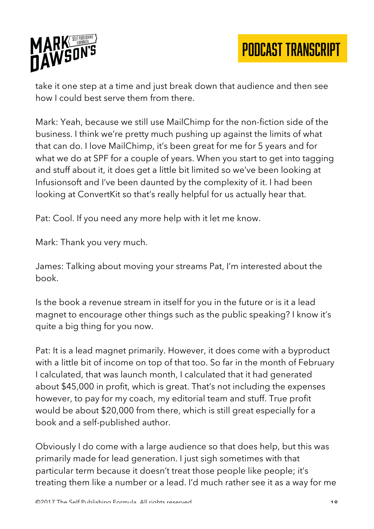

take it one step at a time and just break down that audience and then see how I could best serve them from there.

Mark: Yeah, because we still use MailChimp for the non-fiction side of the business. I think we're pretty much pushing up against the limits of what that can do. I love MailChimp, it's been great for me for 5 years and for what we do at SPF for a couple of years. When you start to get into tagging and stuff about it, it does get a little bit limited so we've been looking at Infusionsoft and I've been daunted by the complexity of it. I had been looking at ConvertKit so that's really helpful for us actually hear that.

Pat: Cool. If you need any more help with it let me know.

Mark: Thank you very much.

James: Talking about moving your streams Pat, I'm interested about the book.

Is the book a revenue stream in itself for you in the future or is it a lead magnet to encourage other things such as the public speaking? I know it's quite a big thing for you now.

Pat: It is a lead magnet primarily. However, it does come with a byproduct with a little bit of income on top of that too. So far in the month of February I calculated, that was launch month, I calculated that it had generated about \$45,000 in profit, which is great. That's not including the expenses however, to pay for my coach, my editorial team and stuff. True profit would be about \$20,000 from there, which is still great especially for a book and a self-published author.

Obviously I do come with a large audience so that does help, but this was primarily made for lead generation. I just sigh sometimes with that particular term because it doesn't treat those people like people; it's treating them like a number or a lead. I'd much rather see it as a way for me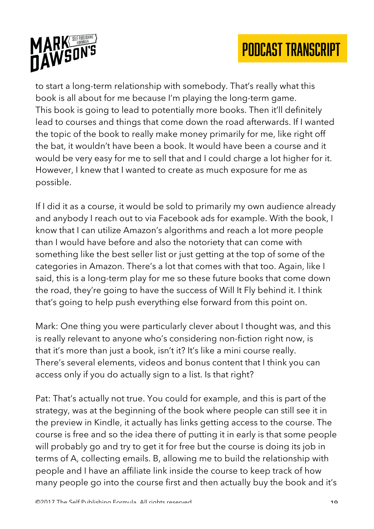

to start a long-term relationship with somebody. That's really what this book is all about for me because I'm playing the long-term game. This book is going to lead to potentially more books. Then it'll definitely lead to courses and things that come down the road afterwards. If I wanted the topic of the book to really make money primarily for me, like right off the bat, it wouldn't have been a book. It would have been a course and it would be very easy for me to sell that and I could charge a lot higher for it. However, I knew that I wanted to create as much exposure for me as possible.

If I did it as a course, it would be sold to primarily my own audience already and anybody I reach out to via Facebook ads for example. With the book, I know that I can utilize Amazon's algorithms and reach a lot more people than I would have before and also the notoriety that can come with something like the best seller list or just getting at the top of some of the categories in Amazon. There's a lot that comes with that too. Again, like I said, this is a long-term play for me so these future books that come down the road, they're going to have the success of Will It Fly behind it. I think that's going to help push everything else forward from this point on.

Mark: One thing you were particularly clever about I thought was, and this is really relevant to anyone who's considering non-fiction right now, is that it's more than just a book, isn't it? It's like a mini course really. There's several elements, videos and bonus content that I think you can access only if you do actually sign to a list. Is that right?

Pat: That's actually not true. You could for example, and this is part of the strategy, was at the beginning of the book where people can still see it in the preview in Kindle, it actually has links getting access to the course. The course is free and so the idea there of putting it in early is that some people will probably go and try to get it for free but the course is doing its job in terms of A, collecting emails. B, allowing me to build the relationship with people and I have an affiliate link inside the course to keep track of how many people go into the course first and then actually buy the book and it's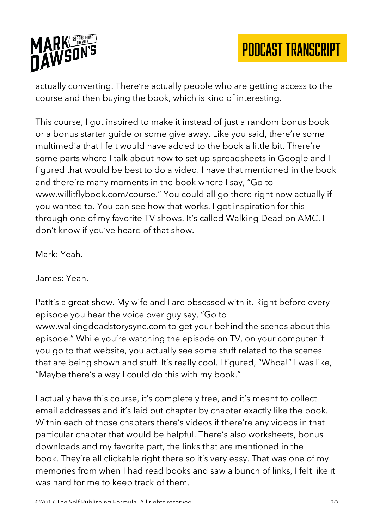

actually converting. There're actually people who are getting access to the course and then buying the book, which is kind of interesting.

This course, I got inspired to make it instead of just a random bonus book or a bonus starter guide or some give away. Like you said, there're some multimedia that I felt would have added to the book a little bit. There're some parts where I talk about how to set up spreadsheets in Google and I figured that would be best to do a video. I have that mentioned in the book and there're many moments in the book where I say, "Go to www.willitflybook.com/course." You could all go there right now actually if you wanted to. You can see how that works. I got inspiration for this through one of my favorite TV shows. It's called Walking Dead on AMC. I don't know if you've heard of that show.

Mark: Yeah.

James: Yeah.

PatIt's a great show. My wife and I are obsessed with it. Right before every episode you hear the voice over guy say, "Go to www.walkingdeadstorysync.com to get your behind the scenes about this episode." While you're watching the episode on TV, on your computer if you go to that website, you actually see some stuff related to the scenes that are being shown and stuff. It's really cool. I figured, "Whoa!" I was like, "Maybe there's a way I could do this with my book."

I actually have this course, it's completely free, and it's meant to collect email addresses and it's laid out chapter by chapter exactly like the book. Within each of those chapters there's videos if there're any videos in that particular chapter that would be helpful. There's also worksheets, bonus downloads and my favorite part, the links that are mentioned in the book. They're all clickable right there so it's very easy. That was one of my memories from when I had read books and saw a bunch of links, I felt like it was hard for me to keep track of them.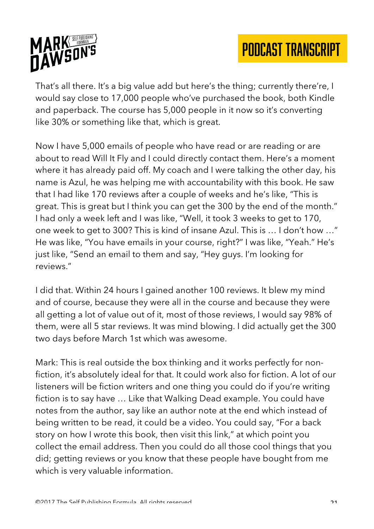

That's all there. It's a big value add but here's the thing; currently there're, I would say close to 17,000 people who've purchased the book, both Kindle and paperback. The course has 5,000 people in it now so it's converting like 30% or something like that, which is great.

Now I have 5,000 emails of people who have read or are reading or are about to read Will It Fly and I could directly contact them. Here's a moment where it has already paid off. My coach and I were talking the other day, his name is Azul, he was helping me with accountability with this book. He saw that I had like 170 reviews after a couple of weeks and he's like, "This is great. This is great but I think you can get the 300 by the end of the month." I had only a week left and I was like, "Well, it took 3 weeks to get to 170, one week to get to 300? This is kind of insane Azul. This is … I don't how …" He was like, "You have emails in your course, right?" I was like, "Yeah." He's just like, "Send an email to them and say, "Hey guys. I'm looking for reviews."

I did that. Within 24 hours I gained another 100 reviews. It blew my mind and of course, because they were all in the course and because they were all getting a lot of value out of it, most of those reviews, I would say 98% of them, were all 5 star reviews. It was mind blowing. I did actually get the 300 two days before March 1st which was awesome.

Mark: This is real outside the box thinking and it works perfectly for nonfiction, it's absolutely ideal for that. It could work also for fiction. A lot of our listeners will be fiction writers and one thing you could do if you're writing fiction is to say have … Like that Walking Dead example. You could have notes from the author, say like an author note at the end which instead of being written to be read, it could be a video. You could say, "For a back story on how I wrote this book, then visit this link," at which point you collect the email address. Then you could do all those cool things that you did; getting reviews or you know that these people have bought from me which is very valuable information.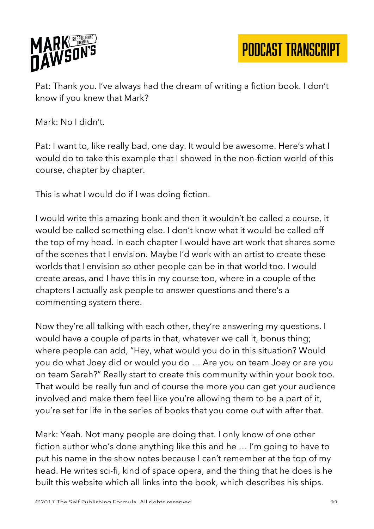

Pat: Thank you. I've always had the dream of writing a fiction book. I don't know if you knew that Mark?

Mark: No I didn't.

Pat: I want to, like really bad, one day. It would be awesome. Here's what I would do to take this example that I showed in the non-fiction world of this course, chapter by chapter.

This is what I would do if I was doing fiction.

I would write this amazing book and then it wouldn't be called a course, it would be called something else. I don't know what it would be called off the top of my head. In each chapter I would have art work that shares some of the scenes that I envision. Maybe I'd work with an artist to create these worlds that I envision so other people can be in that world too. I would create areas, and I have this in my course too, where in a couple of the chapters I actually ask people to answer questions and there's a commenting system there.

Now they're all talking with each other, they're answering my questions. I would have a couple of parts in that, whatever we call it, bonus thing; where people can add, "Hey, what would you do in this situation? Would you do what Joey did or would you do … Are you on team Joey or are you on team Sarah?" Really start to create this community within your book too. That would be really fun and of course the more you can get your audience involved and make them feel like you're allowing them to be a part of it, you're set for life in the series of books that you come out with after that.

Mark: Yeah. Not many people are doing that. I only know of one other fiction author who's done anything like this and he … I'm going to have to put his name in the show notes because I can't remember at the top of my head. He writes sci-fi, kind of space opera, and the thing that he does is he built this website which all links into the book, which describes his ships.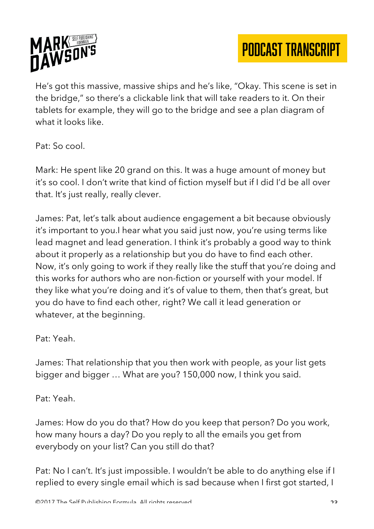

He's got this massive, massive ships and he's like, "Okay. This scene is set in the bridge," so there's a clickable link that will take readers to it. On their tablets for example, they will go to the bridge and see a plan diagram of what it looks like.

Pat: So cool.

Mark: He spent like 20 grand on this. It was a huge amount of money but it's so cool. I don't write that kind of fiction myself but if I did I'd be all over that. It's just really, really clever.

James: Pat, let's talk about audience engagement a bit because obviously it's important to you.I hear what you said just now, you're using terms like lead magnet and lead generation. I think it's probably a good way to think about it properly as a relationship but you do have to find each other. Now, it's only going to work if they really like the stuff that you're doing and this works for authors who are non-fiction or yourself with your model. If they like what you're doing and it's of value to them, then that's great, but you do have to find each other, right? We call it lead generation or whatever, at the beginning.

Pat: Yeah.

James: That relationship that you then work with people, as your list gets bigger and bigger … What are you? 150,000 now, I think you said.

Pat: Yeah.

James: How do you do that? How do you keep that person? Do you work, how many hours a day? Do you reply to all the emails you get from everybody on your list? Can you still do that?

Pat: No I can't. It's just impossible. I wouldn't be able to do anything else if I replied to every single email which is sad because when I first got started, I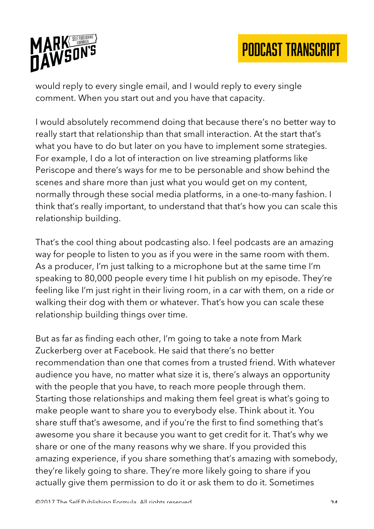

would reply to every single email, and I would reply to every single comment. When you start out and you have that capacity.

I would absolutely recommend doing that because there's no better way to really start that relationship than that small interaction. At the start that's what you have to do but later on you have to implement some strategies. For example, I do a lot of interaction on live streaming platforms like Periscope and there's ways for me to be personable and show behind the scenes and share more than just what you would get on my content, normally through these social media platforms, in a one-to-many fashion. I think that's really important, to understand that that's how you can scale this relationship building.

That's the cool thing about podcasting also. I feel podcasts are an amazing way for people to listen to you as if you were in the same room with them. As a producer, I'm just talking to a microphone but at the same time I'm speaking to 80,000 people every time I hit publish on my episode. They're feeling like I'm just right in their living room, in a car with them, on a ride or walking their dog with them or whatever. That's how you can scale these relationship building things over time.

But as far as finding each other, I'm going to take a note from Mark Zuckerberg over at Facebook. He said that there's no better recommendation than one that comes from a trusted friend. With whatever audience you have, no matter what size it is, there's always an opportunity with the people that you have, to reach more people through them. Starting those relationships and making them feel great is what's going to make people want to share you to everybody else. Think about it. You share stuff that's awesome, and if you're the first to find something that's awesome you share it because you want to get credit for it. That's why we share or one of the many reasons why we share. If you provided this amazing experience, if you share something that's amazing with somebody, they're likely going to share. They're more likely going to share if you actually give them permission to do it or ask them to do it. Sometimes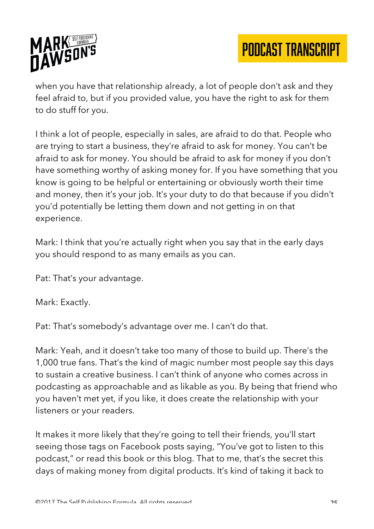

when you have that relationship already, a lot of people don't ask and they feel afraid to, but if you provided value, you have the right to ask for them to do stuff for you.

I think a lot of people, especially in sales, are afraid to do that. People who are trying to start a business, they're afraid to ask for money. You can't be afraid to ask for money. You should be afraid to ask for money if you don't have something worthy of asking money for. If you have something that you know is going to be helpful or entertaining or obviously worth their time and money, then it's your job. It's your duty to do that because if you didn't you'd potentially be letting them down and not getting in on that experience.

Mark: I think that you're actually right when you say that in the early days you should respond to as many emails as you can.

Pat: That's your advantage.

Mark: Exactly.

Pat: That's somebody's advantage over me. I can't do that.

Mark: Yeah, and it doesn't take too many of those to build up. There's the 1,000 true fans. That's the kind of magic number most people say this days to sustain a creative business. I can't think of anyone who comes across in podcasting as approachable and as likable as you. By being that friend who you haven't met yet, if you like, it does create the relationship with your listeners or your readers.

It makes it more likely that they're going to tell their friends, you'll start seeing those tags on Facebook posts saying, "You've got to listen to this podcast," or read this book or this blog. That to me, that's the secret this days of making money from digital products. It's kind of taking it back to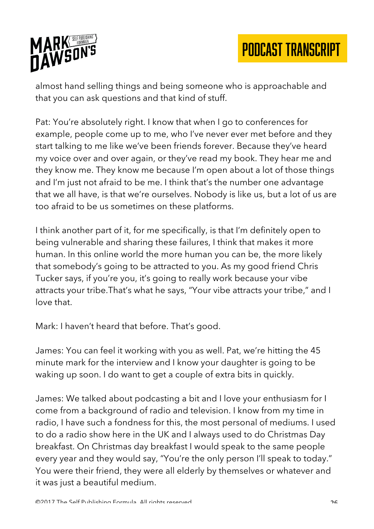

almost hand selling things and being someone who is approachable and that you can ask questions and that kind of stuff.

Pat: You're absolutely right. I know that when I go to conferences for example, people come up to me, who I've never ever met before and they start talking to me like we've been friends forever. Because they've heard my voice over and over again, or they've read my book. They hear me and they know me. They know me because I'm open about a lot of those things and I'm just not afraid to be me. I think that's the number one advantage that we all have, is that we're ourselves. Nobody is like us, but a lot of us are too afraid to be us sometimes on these platforms.

I think another part of it, for me specifically, is that I'm definitely open to being vulnerable and sharing these failures, I think that makes it more human. In this online world the more human you can be, the more likely that somebody's going to be attracted to you. As my good friend Chris Tucker says, if you're you, it's going to really work because your vibe attracts your tribe.That's what he says, "Your vibe attracts your tribe," and I love that.

Mark: I haven't heard that before. That's good.

James: You can feel it working with you as well. Pat, we're hitting the 45 minute mark for the interview and I know your daughter is going to be waking up soon. I do want to get a couple of extra bits in quickly.

James: We talked about podcasting a bit and I love your enthusiasm for I come from a background of radio and television. I know from my time in radio, I have such a fondness for this, the most personal of mediums. I used to do a radio show here in the UK and I always used to do Christmas Day breakfast. On Christmas day breakfast I would speak to the same people every year and they would say, "You're the only person I'll speak to today." You were their friend, they were all elderly by themselves or whatever and it was just a beautiful medium.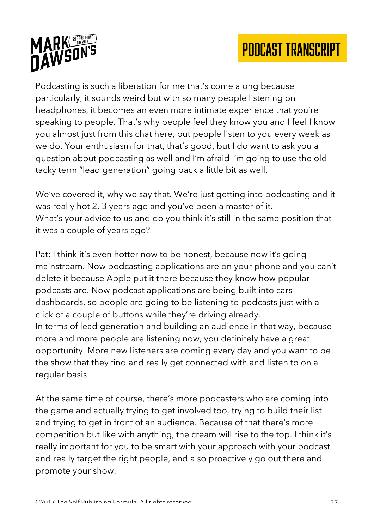

Podcasting is such a liberation for me that's come along because particularly, it sounds weird but with so many people listening on headphones, it becomes an even more intimate experience that you're speaking to people. That's why people feel they know you and I feel I know you almost just from this chat here, but people listen to you every week as we do. Your enthusiasm for that, that's good, but I do want to ask you a question about podcasting as well and I'm afraid I'm going to use the old tacky term "lead generation" going back a little bit as well.

We've covered it, why we say that. We're just getting into podcasting and it was really hot 2, 3 years ago and you've been a master of it. What's your advice to us and do you think it's still in the same position that it was a couple of years ago?

Pat: I think it's even hotter now to be honest, because now it's going mainstream. Now podcasting applications are on your phone and you can't delete it because Apple put it there because they know how popular podcasts are. Now podcast applications are being built into cars dashboards, so people are going to be listening to podcasts just with a click of a couple of buttons while they're driving already. In terms of lead generation and building an audience in that way, because more and more people are listening now, you definitely have a great opportunity. More new listeners are coming every day and you want to be the show that they find and really get connected with and listen to on a regular basis.

At the same time of course, there's more podcasters who are coming into the game and actually trying to get involved too, trying to build their list and trying to get in front of an audience. Because of that there's more competition but like with anything, the cream will rise to the top. I think it's really important for you to be smart with your approach with your podcast and really target the right people, and also proactively go out there and promote your show.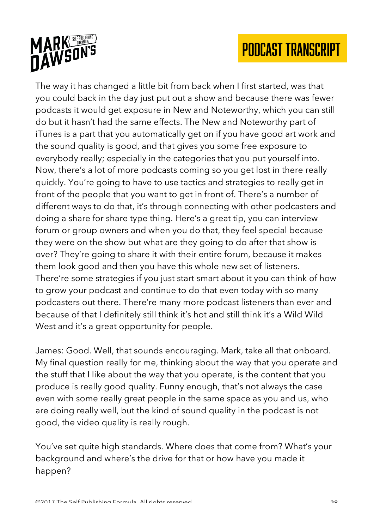

The way it has changed a little bit from back when I first started, was that you could back in the day just put out a show and because there was fewer podcasts it would get exposure in New and Noteworthy, which you can still do but it hasn't had the same effects. The New and Noteworthy part of iTunes is a part that you automatically get on if you have good art work and the sound quality is good, and that gives you some free exposure to everybody really; especially in the categories that you put yourself into. Now, there's a lot of more podcasts coming so you get lost in there really quickly. You're going to have to use tactics and strategies to really get in front of the people that you want to get in front of. There's a number of different ways to do that, it's through connecting with other podcasters and doing a share for share type thing. Here's a great tip, you can interview forum or group owners and when you do that, they feel special because they were on the show but what are they going to do after that show is over? They're going to share it with their entire forum, because it makes them look good and then you have this whole new set of listeners. There're some strategies if you just start smart about it you can think of how to grow your podcast and continue to do that even today with so many podcasters out there. There're many more podcast listeners than ever and because of that I definitely still think it's hot and still think it's a Wild Wild West and it's a great opportunity for people.

James: Good. Well, that sounds encouraging. Mark, take all that onboard. My final question really for me, thinking about the way that you operate and the stuff that I like about the way that you operate, is the content that you produce is really good quality. Funny enough, that's not always the case even with some really great people in the same space as you and us, who are doing really well, but the kind of sound quality in the podcast is not good, the video quality is really rough.

You've set quite high standards. Where does that come from? What's your background and where's the drive for that or how have you made it happen?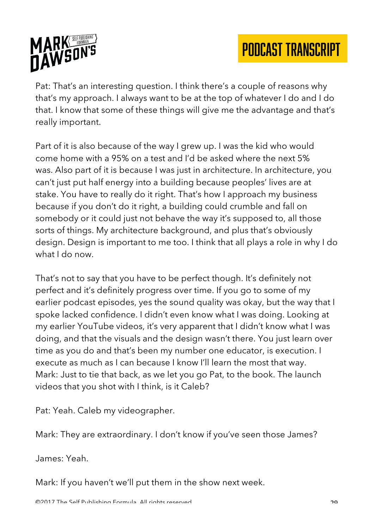

Pat: That's an interesting question. I think there's a couple of reasons why that's my approach. I always want to be at the top of whatever I do and I do that. I know that some of these things will give me the advantage and that's really important.

Part of it is also because of the way I grew up. I was the kid who would come home with a 95% on a test and I'd be asked where the next 5% was. Also part of it is because I was just in architecture. In architecture, you can't just put half energy into a building because peoples' lives are at stake. You have to really do it right. That's how I approach my business because if you don't do it right, a building could crumble and fall on somebody or it could just not behave the way it's supposed to, all those sorts of things. My architecture background, and plus that's obviously design. Design is important to me too. I think that all plays a role in why I do what I do now.

That's not to say that you have to be perfect though. It's definitely not perfect and it's definitely progress over time. If you go to some of my earlier podcast episodes, yes the sound quality was okay, but the way that I spoke lacked confidence. I didn't even know what I was doing. Looking at my earlier YouTube videos, it's very apparent that I didn't know what I was doing, and that the visuals and the design wasn't there. You just learn over time as you do and that's been my number one educator, is execution. I execute as much as I can because I know I'll learn the most that way. Mark: Just to tie that back, as we let you go Pat, to the book. The launch videos that you shot with I think, is it Caleb?

Pat: Yeah. Caleb my videographer.

Mark: They are extraordinary. I don't know if you've seen those James?

James: Yeah.

Mark: If you haven't we'll put them in the show next week.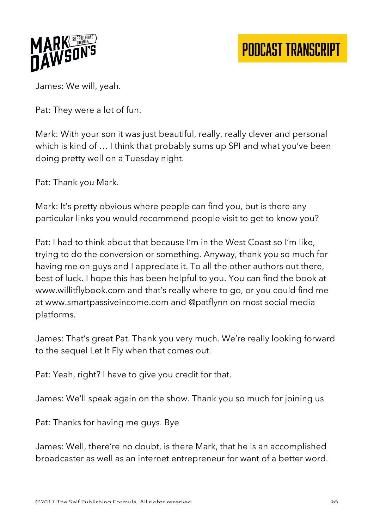

James: We will, yeah.

Pat: They were a lot of fun.

Mark: With your son it was just beautiful, really, really clever and personal which is kind of … I think that probably sums up SPI and what you've been doing pretty well on a Tuesday night.

Pat: Thank you Mark.

Mark: It's pretty obvious where people can find you, but is there any particular links you would recommend people visit to get to know you?

Pat: I had to think about that because I'm in the West Coast so I'm like, trying to do the conversion or something. Anyway, thank you so much for having me on guys and I appreciate it. To all the other authors out there, best of luck. I hope this has been helpful to you. You can find the book at www.willitflybook.com and that's really where to go, or you could find me at www.smartpassiveincome.com and @patflynn on most social media platforms.

James: That's great Pat. Thank you very much. We're really looking forward to the sequel Let It Fly when that comes out.

Pat: Yeah, right? I have to give you credit for that.

James: We'll speak again on the show. Thank you so much for joining us

Pat: Thanks for having me guys. Bye

James: Well, there're no doubt, is there Mark, that he is an accomplished broadcaster as well as an internet entrepreneur for want of a better word.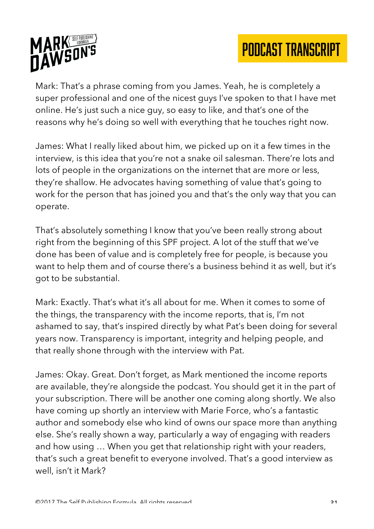

Mark: That's a phrase coming from you James. Yeah, he is completely a super professional and one of the nicest guys I've spoken to that I have met online. He's just such a nice guy, so easy to like, and that's one of the reasons why he's doing so well with everything that he touches right now.

James: What I really liked about him, we picked up on it a few times in the interview, is this idea that you're not a snake oil salesman. There're lots and lots of people in the organizations on the internet that are more or less, they're shallow. He advocates having something of value that's going to work for the person that has joined you and that's the only way that you can operate.

That's absolutely something I know that you've been really strong about right from the beginning of this SPF project. A lot of the stuff that we've done has been of value and is completely free for people, is because you want to help them and of course there's a business behind it as well, but it's got to be substantial.

Mark: Exactly. That's what it's all about for me. When it comes to some of the things, the transparency with the income reports, that is, I'm not ashamed to say, that's inspired directly by what Pat's been doing for several years now. Transparency is important, integrity and helping people, and that really shone through with the interview with Pat.

James: Okay. Great. Don't forget, as Mark mentioned the income reports are available, they're alongside the podcast. You should get it in the part of your subscription. There will be another one coming along shortly. We also have coming up shortly an interview with Marie Force, who's a fantastic author and somebody else who kind of owns our space more than anything else. She's really shown a way, particularly a way of engaging with readers and how using … When you get that relationship right with your readers, that's such a great benefit to everyone involved. That's a good interview as well, isn't it Mark?